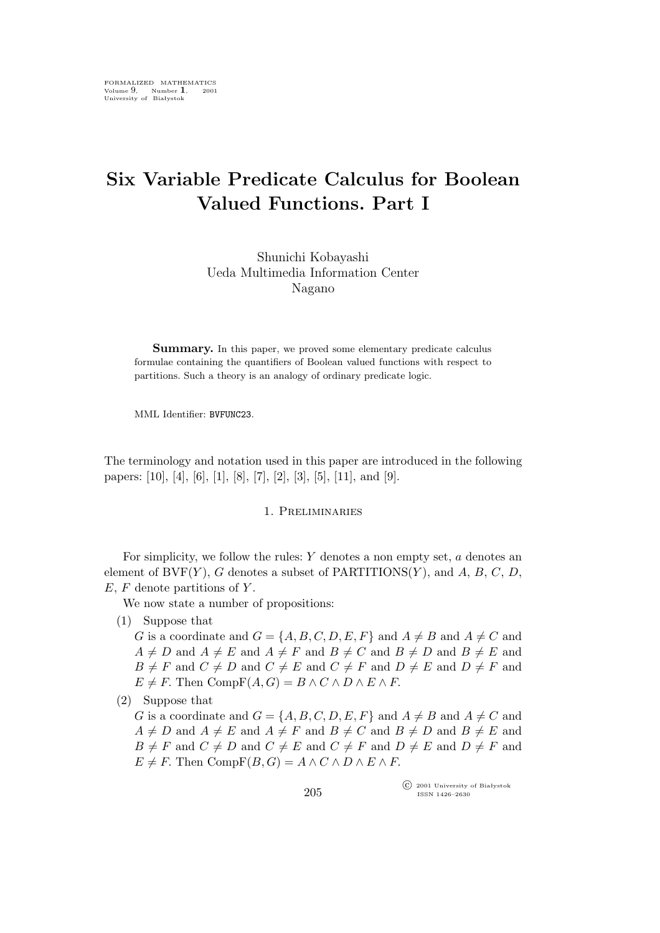## **Six Variable Predicate Calculus for Boolean Valued Functions. Part I**

Shunichi Kobayashi Ueda Multimedia Information Center Nagano

**Summary.** In this paper, we proved some elementary predicate calculus formulae containing the quantifiers of Boolean valued functions with respect to partitions. Such a theory is an analogy of ordinary predicate logic.

MML Identifier: BVFUNC23.

The terminology and notation used in this paper are introduced in the following papers: [10], [4], [6], [1], [8], [7], [2], [3], [5], [11], and [9].

## 1. Preliminaries

For simplicity, we follow the rules:  $Y$  denotes a non empty set,  $a$  denotes an element of  $BVF(Y)$ , G denotes a subset of  $PARTITIONS(Y)$ , and A, B, C, D,  $E, F$  denote partitions of Y.

We now state a number of propositions:

(1) Suppose that

G is a coordinate and  $G = \{A, B, C, D, E, F\}$  and  $A \neq B$  and  $A \neq C$  and  $A \neq D$  and  $A \neq E$  and  $A \neq F$  and  $B \neq C$  and  $B \neq D$  and  $B \neq E$  and  $B \neq F$  and  $C \neq D$  and  $C \neq E$  and  $C \neq F$  and  $D \neq E$  and  $D \neq F$  and  $E \neq F$ . Then  $CompF(A, G) = B \wedge C \wedge D \wedge E \wedge F$ .

(2) Suppose that

G is a coordinate and  $G = \{A, B, C, D, E, F\}$  and  $A \neq B$  and  $A \neq C$  and  $A \neq D$  and  $A \neq E$  and  $A \neq F$  and  $B \neq C$  and  $B \neq D$  and  $B \neq E$  and  $B \neq F$  and  $C \neq D$  and  $C \neq E$  and  $C \neq F$  and  $D \neq E$  and  $D \neq F$  and  $E \neq F$ . Then  $CompF(B, G) = A \wedge C \wedge D \wedge E \wedge F$ .

> °c 2001 University of Białystok ISSN 1426–2630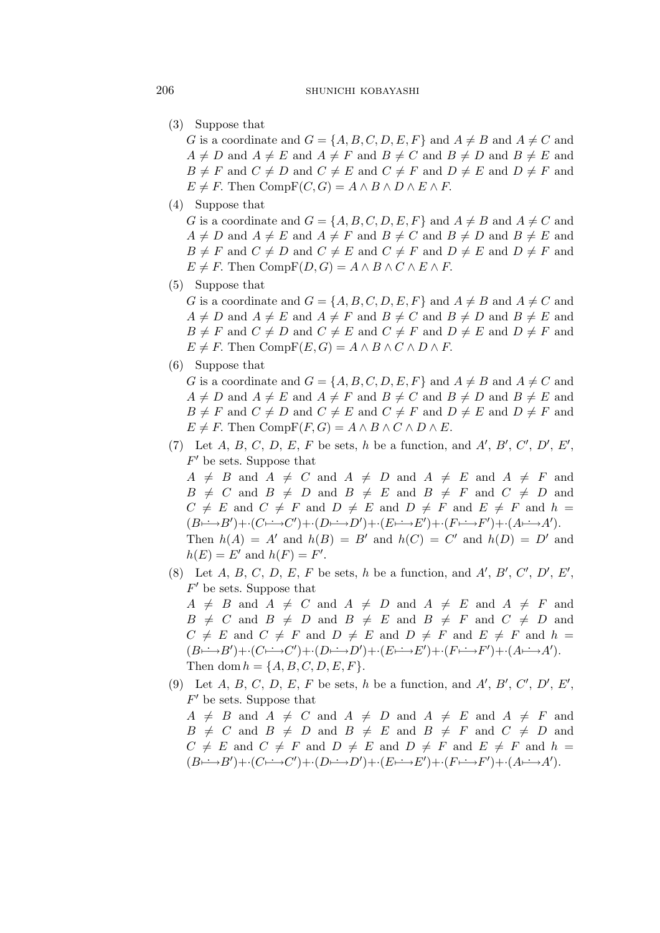(3) Suppose that

G is a coordinate and  $G = \{A, B, C, D, E, F\}$  and  $A \neq B$  and  $A \neq C$  and  $A \neq D$  and  $A \neq E$  and  $A \neq F$  and  $B \neq C$  and  $B \neq D$  and  $B \neq E$  and  $B \neq F$  and  $C \neq D$  and  $C \neq E$  and  $C \neq F$  and  $D \neq E$  and  $D \neq F$  and  $E \neq F$ . Then  $CompF(C, G) = A \wedge B \wedge D \wedge E \wedge F$ .

(4) Suppose that

G is a coordinate and  $G = \{A, B, C, D, E, F\}$  and  $A \neq B$  and  $A \neq C$  and  $A \neq D$  and  $A \neq E$  and  $A \neq F$  and  $B \neq C$  and  $B \neq D$  and  $B \neq E$  and  $B \neq F$  and  $C \neq D$  and  $C \neq E$  and  $C \neq F$  and  $D \neq E$  and  $D \neq F$  and  $E \neq F$ . Then  $CompF(D, G) = A \wedge B \wedge C \wedge E \wedge F$ .

(5) Suppose that

G is a coordinate and  $G = \{A, B, C, D, E, F\}$  and  $A \neq B$  and  $A \neq C$  and  $A \neq D$  and  $A \neq E$  and  $A \neq F$  and  $B \neq C$  and  $B \neq D$  and  $B \neq E$  and  $B \neq F$  and  $C \neq D$  and  $C \neq E$  and  $C \neq F$  and  $D \neq E$  and  $D \neq F$  and  $E \neq F$ . Then  $CompF(E, G) = A \wedge B \wedge C \wedge D \wedge F$ .

(6) Suppose that

G is a coordinate and  $G = \{A, B, C, D, E, F\}$  and  $A \neq B$  and  $A \neq C$  and  $A \neq D$  and  $A \neq E$  and  $A \neq F$  and  $B \neq C$  and  $B \neq D$  and  $B \neq E$  and  $B \neq F$  and  $C \neq D$  and  $C \neq E$  and  $C \neq F$  and  $D \neq E$  and  $D \neq F$  and  $E \neq F$ . Then  $CompF(F, G) = A \wedge B \wedge C \wedge D \wedge E$ .

(7) Let  $A, B, C, D, E, F$  be sets, h be a function, and  $A', B', C', D', E'$ , F *′* be sets. Suppose that

 $A \neq B$  and  $A \neq C$  and  $A \neq D$  and  $A \neq E$  and  $A \neq F$  and  $B \neq C$  and  $B \neq D$  and  $B \neq E$  and  $B \neq F$  and  $C \neq D$  and  $C \neq E$  and  $C \neq F$  and  $D \neq E$  and  $D \neq F$  and  $E \neq F$  and  $h =$  $(B \rightarrow B') + (C \rightarrow C') + (D \rightarrow D') + (E \rightarrow E') + (F \rightarrow F') + (A \rightarrow A').$ Then  $h(A) = A'$  and  $h(B) = B'$  and  $h(C) = C'$  and  $h(D) = D'$  and  $h(E) = E'$  and  $h(F) = F'$ .

(8) Let  $A, B, C, D, E, F$  be sets, h be a function, and  $A', B', C', D', E'$ , F *′* be sets. Suppose that

 $A \neq B$  and  $A \neq C$  and  $A \neq D$  and  $A \neq E$  and  $A \neq F$  and  $B \neq C$  and  $B \neq D$  and  $B \neq E$  and  $B \neq F$  and  $C \neq D$  and  $C \neq E$  and  $C \neq F$  and  $D \neq E$  and  $D \neq F$  and  $E \neq F$  and  $h =$  $(B \rightarrow B') + (C \rightarrow C') + (D \rightarrow D') + (E \rightarrow E') + (F \rightarrow F') + (A \rightarrow A').$ Then dom  $h = \{A, B, C, D, E, F\}.$ 

(9) Let  $A, B, C, D, E, F$  be sets, h be a function, and  $A', B', C', D', E'$ , F *′* be sets. Suppose that

 $A \neq B$  and  $A \neq C$  and  $A \neq D$  and  $A \neq E$  and  $A \neq F$  and  $B \neq C$  and  $B \neq D$  and  $B \neq E$  and  $B \neq F$  and  $C \neq D$  and  $C \neq E$  and  $C \neq F$  and  $D \neq E$  and  $D \neq F$  and  $E \neq F$  and  $h =$  $(B \rightarrow B') + (C \rightarrow C') + (D \rightarrow D') + (E \rightarrow E') + (F \rightarrow F') + (A \rightarrow A').$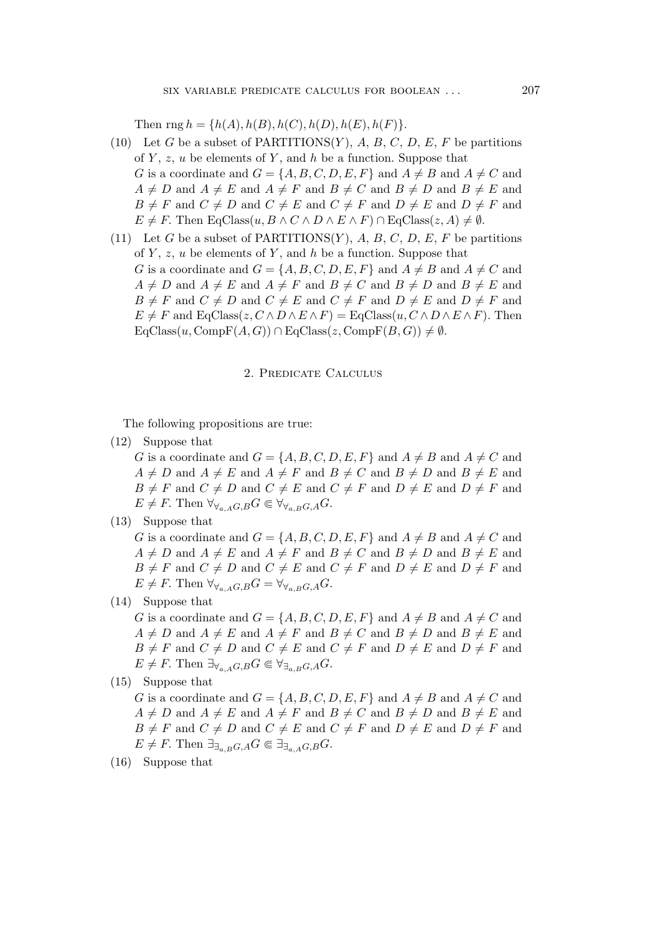Then rng  $h = \{h(A), h(B), h(C), h(D), h(E), h(F)\}.$ 

- (10) Let G be a subset of PARTITIONS $(Y)$ , A, B, C, D, E, F be partitions of  $Y$ ,  $z$ ,  $u$  be elements of  $Y$ , and  $h$  be a function. Suppose that G is a coordinate and  $G = \{A, B, C, D, E, F\}$  and  $A \neq B$  and  $A \neq C$  and  $A \neq D$  and  $A \neq E$  and  $A \neq F$  and  $B \neq C$  and  $B \neq D$  and  $B \neq E$  and  $B \neq F$  and  $C \neq D$  and  $C \neq E$  and  $C \neq F$  and  $D \neq E$  and  $D \neq F$  and  $E \neq F$ . Then  $EqClass(u, B \wedge C \wedge D \wedge E \wedge F) \cap EqClass(z, A) \neq \emptyset$ .
- (11) Let G be a subset of PARTITIONS $(Y)$ , A, B, C, D, E, F be partitions of  $Y$ ,  $z$ ,  $u$  be elements of  $Y$ , and  $h$  be a function. Suppose that G is a coordinate and  $G = \{A, B, C, D, E, F\}$  and  $A \neq B$  and  $A \neq C$  and  $A \neq D$  and  $A \neq E$  and  $A \neq F$  and  $B \neq C$  and  $B \neq D$  and  $B \neq E$  and  $B \neq F$  and  $C \neq D$  and  $C \neq E$  and  $C \neq F$  and  $D \neq E$  and  $D \neq F$  and  $E \neq F$  and  $EqClass(z, C \wedge D \wedge E \wedge F) = EqClass(u, C \wedge D \wedge E \wedge F)$ . Then  $EqClass(u, CompF(A, G)) \cap EqClass(z, CompF(B, G)) \neq \emptyset.$

## 2. Predicate Calculus

The following propositions are true:

(12) Suppose that

G is a coordinate and  $G = \{A, B, C, D, E, F\}$  and  $A \neq B$  and  $A \neq C$  and  $A \neq D$  and  $A \neq E$  and  $A \neq F$  and  $B \neq C$  and  $B \neq D$  and  $B \neq E$  and  $B \neq F$  and  $C \neq D$  and  $C \neq E$  and  $C \neq F$  and  $D \neq E$  and  $D \neq F$  and  $E \neq F$ . Then  $\forall \forall_{a,A} G, B} G \in \forall \forall_{a,B} G, A} G$ .

(13) Suppose that

G is a coordinate and  $G = \{A, B, C, D, E, F\}$  and  $A \neq B$  and  $A \neq C$  and  $A \neq D$  and  $A \neq E$  and  $A \neq F$  and  $B \neq C$  and  $B \neq D$  and  $B \neq E$  and  $B \neq F$  and  $C \neq D$  and  $C \neq E$  and  $C \neq F$  and  $D \neq E$  and  $D \neq F$  and  $E \neq F$ . Then  $\forall \forall_{a,A} G, B G = \forall \forall_{a,B} G, A G$ .

(14) Suppose that

G is a coordinate and  $G = \{A, B, C, D, E, F\}$  and  $A \neq B$  and  $A \neq C$  and  $A \neq D$  and  $A \neq E$  and  $A \neq F$  and  $B \neq C$  and  $B \neq D$  and  $B \neq E$  and  $B \neq F$  and  $C \neq D$  and  $C \neq E$  and  $C \neq F$  and  $D \neq E$  and  $D \neq F$  and  $E \neq F$ . Then  $\exists_{\forall_{a,A}G,B} G \in \forall_{\exists_{a,B}G,A} G$ .

(15) Suppose that

G is a coordinate and  $G = \{A, B, C, D, E, F\}$  and  $A \neq B$  and  $A \neq C$  and  $A \neq D$  and  $A \neq E$  and  $A \neq F$  and  $B \neq C$  and  $B \neq D$  and  $B \neq E$  and  $B \neq F$  and  $C \neq D$  and  $C \neq E$  and  $C \neq F$  and  $D \neq E$  and  $D \neq F$  and  $E \neq F$ . Then  $\exists_{\exists_a B} G, A G \in \exists_{\exists_a A} G, B G$ .

(16) Suppose that